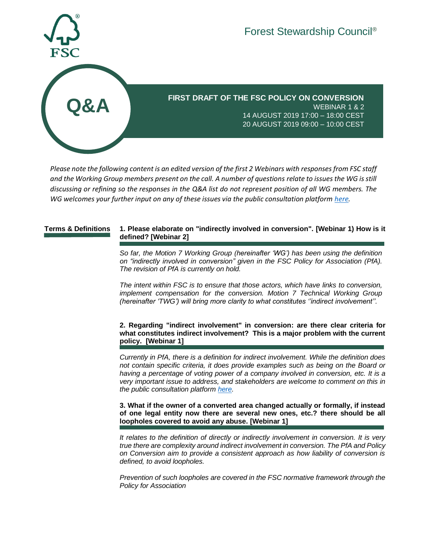

**FIRST DRAFT OF THE FSC POLICY ON CONVERSION** WEBINAR 1 & 2 14 AUGUST 2019 17:00 – 18:00 CEST 20 AUGUST 2019 09:00 – 10:00 CEST

*Please note the following content is an edited version of the first 2 Webinars with responses from FSC staff and the Working Group members present on the call. A number of questions relate to issues the WG is still discussing or refining so the responses in the Q&A list do not represent position of all WG members. The WG welcomes your further input on any of these issues via the public consultation platform [here.](https://consultation-platform.fsc.org/en/consultations/take/c6e726c8edf03)*

## **Terms & Definitions 1. Please elaborate on "indirectly involved in conversion". [Webinar 1) How is it defined? [Webinar 2]**

*So far, the Motion 7 Working Group (hereinafter 'WG') has been using the definition on "indirectly involved in conversion" given in the FSC Policy for Association (PfA). The revision of PfA is currently on hold.* 

*The intent within FSC is to ensure that those actors, which have links to conversion, implement compensation for the conversion. Motion 7 Technical Working Group (hereinafter 'TWG') will bring more clarity to what constitutes ''indirect involvement''.* 

**2. Regarding "indirect involvement" in conversion: are there clear criteria for what constitutes indirect involvement? This is a major problem with the current policy. [Webinar 1]**

*Currently in PfA, there is a definition for indirect involvement. While the definition does not contain specific criteria, it does provide examples such as being on the Board or having a percentage of voting power of a company involved in conversion, etc. It is a very important issue to address, and stakeholders are welcome to comment on this in the public consultation platform [here.](https://consultation-platform.fsc.org/en/consultations/take/c6e726c8edf03)* 

**3. What if the owner of a converted area changed actually or formally, if instead of one legal entity now there are several new ones, etc.? there should be all loopholes covered to avoid any abuse. [Webinar 1]**

*It relates to the definition of directly or indirectly involvement in conversion. It is very true there are complexity around indirect involvement in conversion. The PfA and Policy on Conversion aim to provide a consistent approach as how liability of conversion is defined, to avoid loopholes.* 

*Prevention of such loopholes are covered in the FSC normative framework through the Policy for Association*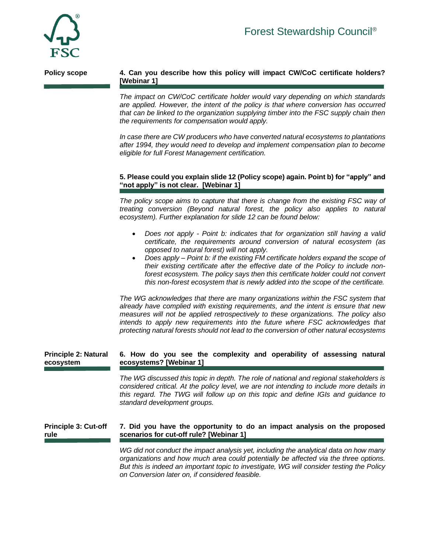

# **Policy scope 4. Can you describe how this policy will impact CW/CoC certificate holders? [Webinar 1]**

*The impact on CW/CoC certificate holder would vary depending on which standards are applied. However, the intent of the policy is that where conversion has occurred that can be linked to the organization supplying timber into the FSC supply chain then the requirements for compensation would apply.*

*In case there are CW producers who have converted natural ecosystems to plantations after 1994, they would need to develop and implement compensation plan to become eligible for full Forest Management certification.* 

# **5. Please could you explain slide 12 (Policy scope) again. Point b) for "apply" and "not apply" is not clear. [Webinar 1]**

The policy scope aims to capture that there is change from the existing FSC way of *treating conversion (Beyond natural forest, the policy also applies to natural ecosystem). Further explanation for slide 12 can be found below:*

- *Does not apply - Point b: indicates that for organization still having a valid certificate, the requirements around conversion of natural ecosystem (as opposed to natural forest) will not apply.*
- *Does apply – Point b: if the existing FM certificate holders expand the scope of their existing certificate after the effective date of the Policy to include nonforest ecosystem. The policy says then this certificate holder could not convert this non-forest ecosystem that is newly added into the scope of the certificate.*

*The WG acknowledges that there are many organizations within the FSC system that already have complied with existing requirements, and the intent is ensure that new measures will not be applied retrospectively to these organizations. The policy also intends to apply new requirements into the future where FSC acknowledges that protecting natural forests should not lead to the conversion of other natural ecosystems* 

#### **Principle 2: Natural ecosystem 6. How do you see the complexity and operability of assessing natural ecosystems? [Webinar 1]**

*The WG discussed this topic in depth. The role of national and regional stakeholders is considered critical. At the policy level, we are not intending to include more details in this regard. The TWG will follow up on this topic and define IGIs and guidance to standard development groups.*

#### **Principle 3: Cut-off rule 7. Did you have the opportunity to do an impact analysis on the proposed scenarios for cut-off rule? [Webinar 1]**

*WG did not conduct the impact analysis yet, including the analytical data on how many organizations and how much area could potentially be affected via the three options. But this is indeed an important topic to investigate, WG will consider testing the Policy on Conversion later on, if considered feasible.*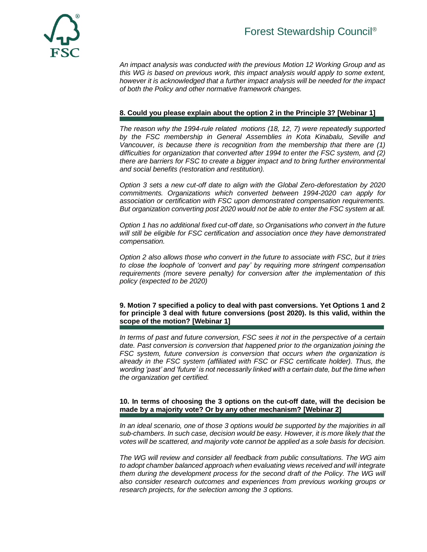

*An impact analysis was conducted with the previous Motion 12 Working Group and as this WG is based on previous work, this impact analysis would apply to some extent, however it is acknowledged that a further impact analysis will be needed for the impact of both the Policy and other normative framework changes.*

# **8. Could you please explain about the option 2 in the Principle 3? [Webinar 1]**

*The reason why the 1994-rule related motions (18, 12, 7) were repeatedly supported by the FSC membership in General Assemblies in Kota Kinabalu, Seville and Vancouver, is because there is recognition from the membership that there are (1) difficulties for organization that converted after 1994 to enter the FSC system, and (2) there are barriers for FSC to create a bigger impact and to bring further environmental and social benefits (restoration and restitution).*

*Option 3 sets a new cut-off date to align with the Global Zero-deforestation by 2020 commitments. Organizations which converted between 1994-2020 can apply for association or certification with FSC upon demonstrated compensation requirements. But organization converting post 2020 would not be able to enter the FSC system at all.* 

*Option 1 has no additional fixed cut-off date, so Organisations who convert in the future will still be eligible for FSC certification and association once they have demonstrated compensation.*

*Option 2 also allows those who convert in the future to associate with FSC, but it tries to close the loophole of 'convert and pay' by requiring more stringent compensation requirements (more severe penalty) for conversion after the implementation of this policy (expected to be 2020)*

**9. Motion 7 specified a policy to deal with past conversions. Yet Options 1 and 2 for principle 3 deal with future conversions (post 2020). Is this valid, within the scope of the motion? [Webinar 1]**

*In terms of past and future conversion, FSC sees it not in the perspective of a certain date. Past conversion is conversion that happened prior to the organization joining the FSC system, future conversion is conversion that occurs when the organization is already in the FSC system (affiliated with FSC or FSC certificate holder). Thus, the wording 'past' and 'future' is not necessarily linked with a certain date, but the time when the organization get certified.* 

## **10. In terms of choosing the 3 options on the cut-off date, will the decision be made by a majority vote? Or by any other mechanism? [Webinar 2]**

*In an ideal scenario, one of those 3 options would be supported by the majorities in all sub-chambers. In such case, decision would be easy. However, it is more likely that the votes will be scattered, and majority vote cannot be applied as a sole basis for decision.*

*The WG will review and consider all feedback from public consultations. The WG aim to adopt chamber balanced approach when evaluating views received and will integrate them during the development process for the second draft of the Policy. The WG will also consider research outcomes and experiences from previous working groups or research projects, for the selection among the 3 options.*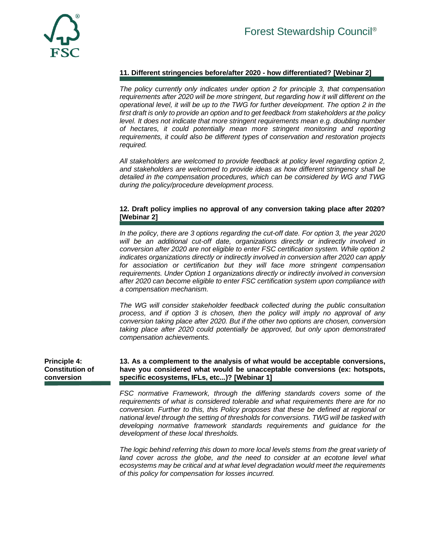

# **11. Different stringencies before/after 2020 - how differentiated? [Webinar 2]**

*The policy currently only indicates under option 2 for principle 3, that compensation requirements after 2020 will be more stringent, but regarding how it will different on the operational level, it will be up to the TWG for further development. The option 2 in the first draft is only to provide an option and to get feedback from stakeholders at the policy level. It does not indicate that more stringent requirements mean e.g. doubling number of hectares, it could potentially mean more stringent monitoring and reporting requirements, it could also be different types of conservation and restoration projects required.* 

*All stakeholders are welcomed to provide feedback at policy level regarding option 2, and stakeholders are welcomed to provide ideas as how different stringency shall be detailed in the compensation procedures, which can be considered by WG and TWG during the policy/procedure development process.* 

# **12. Draft policy implies no approval of any conversion taking place after 2020? [Webinar 2]**

*In the policy, there are 3 options regarding the cut-off date. For option 3, the year 2020 will be an additional cut-off date, organizations directly or indirectly involved in conversion after 2020 are not eligible to enter FSC certification system. While option 2 indicates organizations directly or indirectly involved in conversion after 2020 can apply for association or certification but they will face more stringent compensation requirements. Under Option 1 organizations directly or indirectly involved in conversion after 2020 can become eligible to enter FSC certification system upon compliance with a compensation mechanism.*

*The WG will consider stakeholder feedback collected during the public consultation process, and if option 3 is chosen, then the policy will imply no approval of any conversion taking place after 2020. But if the other two options are chosen, conversion taking place after 2020 could potentially be approved, but only upon demonstrated compensation achievements.* 

#### **Principle 4: Constitution of conversion 13. As a complement to the analysis of what would be acceptable conversions, have you considered what would be unacceptable conversions (ex: hotspots, specific ecosystems, IFLs, etc...)? [Webinar 1]**

*FSC normative Framework, through the differing standards covers some of the requirements of what is considered tolerable and what requirements there are for no conversion. Further to this, this Policy proposes that these be defined at regional or national level through the setting of thresholds for conversions. TWG will be tasked with developing normative framework standards requirements and guidance for the development of these local thresholds.*

*The logic behind referring this down to more local levels stems from the great variety of land cover across the globe, and the need to consider at an ecotone level what ecosystems may be critical and at what level degradation would meet the requirements of this policy for compensation for losses incurred.*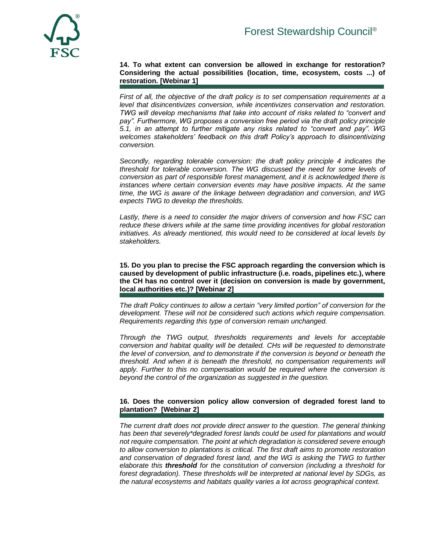

**14. To what extent can conversion be allowed in exchange for restoration? Considering the actual possibilities (location, time, ecosystem, costs ...) of restoration. [Webinar 1]**

*First of all, the objective of the draft policy is to set compensation requirements at a level that disincentivizes conversion, while incentivizes conservation and restoration. TWG will develop mechanisms that take into account of risks related to "convert and pay". Furthermore, WG proposes a conversion free period via the draft policy principle 5.1, in an attempt to further mitigate any risks related to "convert and pay". WG welcomes stakeholders' feedback on this draft Policy's approach to disincentivizing conversion.* 

*Secondly, regarding tolerable conversion: the draft policy principle 4 indicates the threshold for tolerable conversion. The WG discussed the need for some levels of conversion as part of responsible forest management, and it is acknowledged there is instances where certain conversion events may have positive impacts. At the same time, the WG is aware of the linkage between degradation and conversion, and WG expects TWG to develop the thresholds.* 

*Lastly, there is a need to consider the major drivers of conversion and how FSC can reduce these drivers while at the same time providing incentives for global restoration initiatives. As already mentioned, this would need to be considered at local levels by stakeholders.*

**15. Do you plan to precise the FSC approach regarding the conversion which is caused by development of public infrastructure (i.e. roads, pipelines etc.), where the CH has no control over it (decision on conversion is made by government, local authorities etc.)? [Webinar 2]**

*The draft Policy continues to allow a certain "very limited portion" of conversion for the development. These will not be considered such actions which require compensation. Requirements regarding this type of conversion remain unchanged.* 

*Through the TWG output, thresholds requirements and levels for acceptable conversion and habitat quality will be detailed. CHs will be requested to demonstrate the level of conversion, and to demonstrate if the conversion is beyond or beneath the threshold. And when it is beneath the threshold, no compensation requirements will apply. Further to this no compensation would be required where the conversion is beyond the control of the organization as suggested in the question.*

## **16. Does the conversion policy allow conversion of degraded forest land to plantation? [Webinar 2]**

*The current draft does not provide direct answer to the question. The general thinking has been that severely\*degraded forest lands could be used for plantations and would not require compensation. The point at which degradation is considered severe enough to allow conversion to plantations is critical. The first draft aims to promote restoration and conservation of degraded forest land, and the WG is asking the TWG to further elaborate this threshold for the constitution of conversion (including a threshold for forest degradation). These thresholds will be interpreted at national level by SDGs, as the natural ecosystems and habitats quality varies a lot across geographical context.*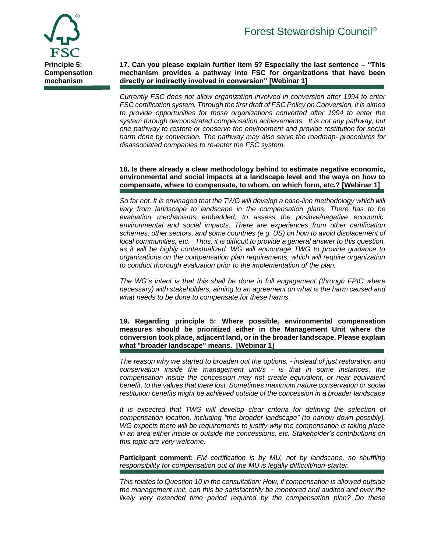

**17. Can you please explain further item 5? Especially the last sentence – "This mechanism provides a pathway into FSC for organizations that have been directly or indirectly involved in conversion" [Webinar 1]**

*Currently FSC does not allow organization involved in conversion after 1994 to enter FSC certification system. Through the first draft of FSC Policy on Conversion, it is aimed to provide opportunities for those organizations converted after 1994 to enter the system through demonstrated compensation achievements. It is not any pathway, but one pathway to restore or conserve the environment and provide restitution for social harm done by conversion. The pathway may also serve the roadmap- procedures for disassociated companies to re-enter the FSC system.* 

**18. Is there already a clear methodology behind to estimate negative economic, environmental and social impacts at a landscape level and the ways on how to compensate, where to compensate, to whom, on which form, etc.? [Webinar 1]**

*So far not. It is envisaged that the TWG will develop a base-line methodology which will vary from landscape to landscape in the compensation plans. There has to be evaluation mechanisms embedded, to assess the positive/negative economic, environmental and social impacts. There are experiences from other certification schemes, other sectors, and some countries (e.g. US) on how to avoid displacement of local communities, etc. Thus, it is difficult to provide a general answer to this question, as it will be highly contextualized. WG will encourage TWG to provide guidance to organizations on the compensation plan requirements, which will require organization to conduct thorough evaluation prior to the implementation of the plan.*

*The WG's intent is that this shall be done in full engagement (through FPIC where necessary) with stakeholders, aiming to an agreement on what is the harm caused and what needs to be done to compensate for these harms.*

**19. Regarding principle 5: Where possible, environmental compensation measures should be prioritized either in the Management Unit where the conversion took place, adjacent land, or in the broader landscape. Please explain what "broader landscape" means. [Webinar 1]**

*The reason why we started to broaden out the options, - instead of just restoration and conservation inside the management unit/s - is that in some instances, the compensation inside the concession may not create equivalent, or near equivalent benefit, to the values that were lost. Sometimes maximum nature conservation or social restitution benefits might be achieved outside of the concession in a broader landscape*

*It is expected that TWG will develop clear criteria for defining the selection of compensation location, including "the broader landscape" (to narrow down possibly). WG expects there will be requirements to justify why the compensation is taking place in an area either inside or outside the concessions, etc. Stakeholder's contributions on this topic are very welcome.*

**Participant comment:** *FM certification is by MU, not by landscape, so shuffling responsibility for compensation out of the MU is legally difficult/non-starter.* 

*This relates to Question 10 in the consultation: How, if compensation is allowed outside the management unit, can this be satisfactorily be monitored and audited and over the likely very extended time period required by the compensation plan? Do these*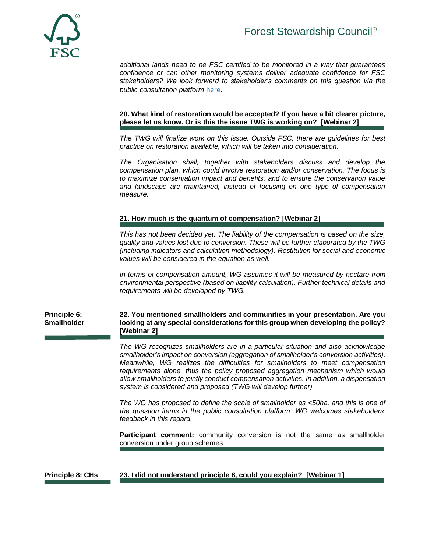# Forest Stewardship Council®



*additional lands need to be FSC certified to be monitored in a way that guarantees confidence or can other monitoring systems deliver adequate confidence for FSC stakeholders? We look forward to stakeholder's comments on this question via the public consultation platform* [here](https://consultation-platform.fsc.org/en/consultations/take/c6e726c8edf03)*.*

#### **20. What kind of restoration would be accepted? If you have a bit clearer picture, please let us know. Or is this the issue TWG is working on? [Webinar 2]**

*The TWG will finalize work on this issue. Outside FSC, there are guidelines for best practice on restoration available, which will be taken into consideration.*

*The Organisation shall, together with stakeholders discuss and develop the compensation plan, which could involve restoration and/or conservation. The focus is to maximize conservation impact and benefits, and to ensure the conservation value and landscape are maintained, instead of focusing on one type of compensation measure.* 

# **21. How much is the quantum of compensation? [Webinar 2]**

*This has not been decided yet. The liability of the compensation is based on the size, quality and values lost due to conversion. These will be further elaborated by the TWG (including indicators and calculation methodology). Restitution for social and economic values will be considered in the equation as well.* 

*In terms of compensation amount, WG assumes it will be measured by hectare from environmental perspective (based on liability calculation). Further technical details and requirements will be developed by TWG.* 

**Principle 6: Smallholder 22. You mentioned smallholders and communities in your presentation. Are you looking at any special considerations for this group when developing the policy? [Webinar 2]**

> *The WG recognizes smallholders are in a particular situation and also acknowledge smallholder's impact on conversion (aggregation of smallholder's conversion activities). Meanwhile, WG realizes the difficulties for smallholders to meet compensation requirements alone, thus the policy proposed aggregation mechanism which would allow smallholders to jointly conduct compensation activities. In addition, a dispensation system is considered and proposed (TWG will develop further).*

> *The WG has proposed to define the scale of smallholder as <50ha, and this is one of the question items in the public consultation platform. WG welcomes stakeholders' feedback in this regard.*

> **Participant comment:** community conversion is not the same as smallholder conversion under group schemes.

## **Principle 8: CHs 23. I did not understand principle 8, could you explain? [Webinar 1]**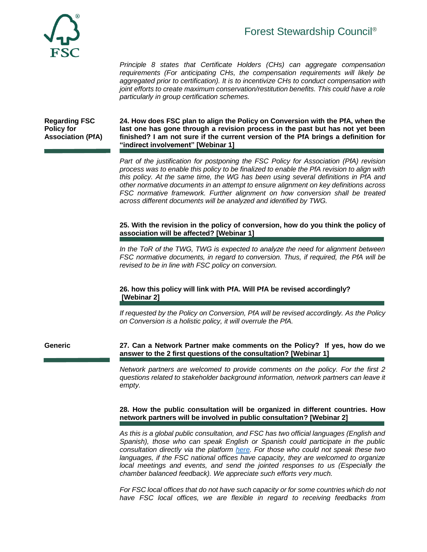

# Forest Stewardship Council®

*Principle 8 states that Certificate Holders (CHs) can aggregate compensation requirements (For anticipating CHs, the compensation requirements will likely be aggregated prior to certification). It is to incentivize CHs to conduct compensation with joint efforts to create maximum conservation/restitution benefits. This could have a role particularly in group certification schemes.*

**Regarding FSC Policy for Association (PfA)** **24. How does FSC plan to align the Policy on Conversion with the PfA, when the last one has gone through a revision process in the past but has not yet been finished? I am not sure if the current version of the PfA brings a definition for "indirect involvement" [Webinar 1]**

*Part of the justification for postponing the FSC Policy for Association (PfA) revision process was to enable this policy to be finalized to enable the PfA revision to align with this policy. At the same time, the WG has been using several definitions in PfA and other normative documents in an attempt to ensure alignment on key definitions across FSC normative framework. Further alignment on how conversion shall be treated across different documents will be analyzed and identified by TWG.*

# **25. With the revision in the policy of conversion, how do you think the policy of association will be affected? [Webinar 1]**

*In the ToR of the TWG, TWG is expected to analyze the need for alignment between FSC normative documents, in regard to conversion. Thus, if required, the PfA will be revised to be in line with FSC policy on conversion.*

# **26. how this policy will link with PfA. Will PfA be revised accordingly? [Webinar 2]**

*If requested by the Policy on Conversion, PfA will be revised accordingly. As the Policy on Conversion is a holistic policy, it will overrule the PfA.* 

**Generic 27. Can a Network Partner make comments on the Policy? If yes, how do we answer to the 2 first questions of the consultation? [Webinar 1]**

> *Network partners are welcomed to provide comments on the policy. For the first 2 questions related to stakeholder background information, network partners can leave it empty.*

## **28. How the public consultation will be organized in different countries. How network partners will be involved in public consultation? [Webinar 2]**

*As this is a global public consultation, and FSC has two official languages (English and Spanish), those who can speak English or Spanish could participate in the public consultation directly via the platform [here.](https://consultation-platform.fsc.org/en/consultations/take/c6e726c8edf03) For those who could not speak these two languages, if the FSC national offices have capacity, they are welcomed to organize local meetings and events, and send the jointed responses to us (Especially the chamber balanced feedback). We appreciate such efforts very much.*

*For FSC local offices that do not have such capacity or for some countries which do not*  have FSC local offices, we are flexible in regard to receiving feedbacks from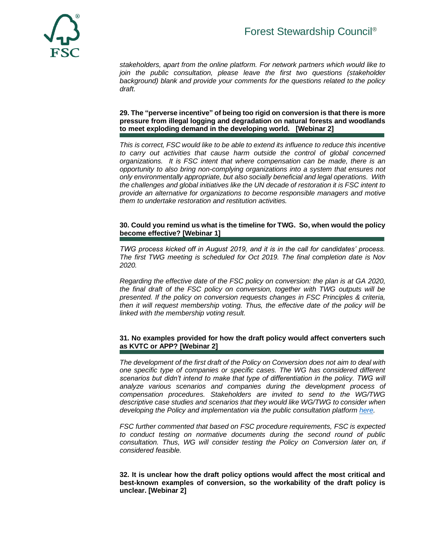

*stakeholders, apart from the online platform. For network partners which would like to*  join the public consultation, please leave the first two questions (stakeholder *background) blank and provide your comments for the questions related to the policy draft.*

## **29. The "perverse incentive" of being too rigid on conversion is that there is more pressure from illegal logging and degradation on natural forests and woodlands to meet exploding demand in the developing world. [Webinar 2]**

*This is correct, FSC would like to be able to extend its influence to reduce this incentive to carry out activities that cause harm outside the control of global concerned organizations. It is FSC intent that where compensation can be made, there is an opportunity to also bring non-complying organizations into a system that ensures not only environmentally appropriate, but also socially beneficial and legal operations. With the challenges and global initiatives like the UN decade of restoration it is FSC intent to provide an alternative for organizations to become responsible managers and motive them to undertake restoration and restitution activities.* 

# **30. Could you remind us what is the timeline for TWG. So, when would the policy become effective? [Webinar 1]**

*TWG process kicked off in August 2019, and it is in the call for candidates' process. The first TWG meeting is scheduled for Oct 2019. The final completion date is Nov 2020.* 

*Regarding the effective date of the FSC policy on conversion: the plan is at GA 2020, the final draft of the FSC policy on conversion, together with TWG outputs will be presented. If the policy on conversion requests changes in FSC Principles & criteria, then it will request membership voting. Thus, the effective date of the policy will be linked with the membership voting result.* 

## **31. No examples provided for how the draft policy would affect converters such as KVTC or APP? [Webinar 2]**

*The development of the first draft of the Policy on Conversion does not aim to deal with one specific type of companies or specific cases. The WG has considered different scenarios but didn't intend to make that type of differentiation in the policy. TWG will analyze various scenarios and companies during the development process of compensation procedures. Stakeholders are invited to send to the WG/TWG descriptive case studies and scenarios that they would like WG/TWG to consider when developing the Policy and implementation via the public consultation platform [here.](https://consultation-platform.fsc.org/en/consultations/take/c6e726c8edf03)*

*FSC further commented that based on FSC procedure requirements, FSC is expected to conduct testing on normative documents during the second round of public consultation. Thus, WG will consider testing the Policy on Conversion later on, if considered feasible.* 

**32. It is unclear how the draft policy options would affect the most critical and best-known examples of conversion, so the workability of the draft policy is unclear. [Webinar 2]**